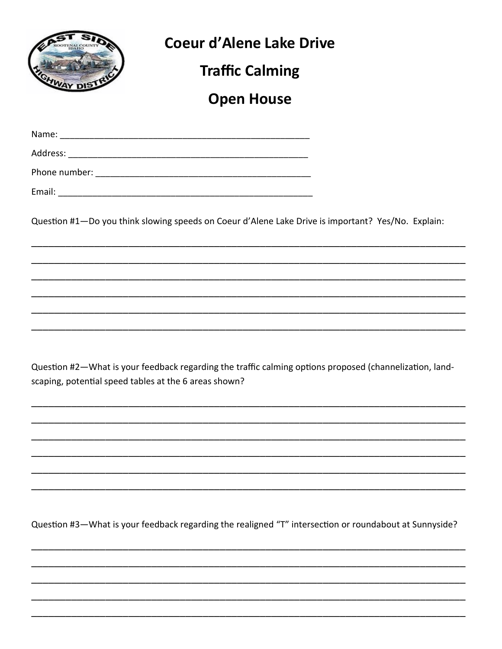

Question #2-What is your feedback regarding the traffic calming options proposed (channelization, landscaping, potential speed tables at the 6 areas shown?

Question #3-What is your feedback regarding the realigned "T" intersection or roundabout at Sunnyside?